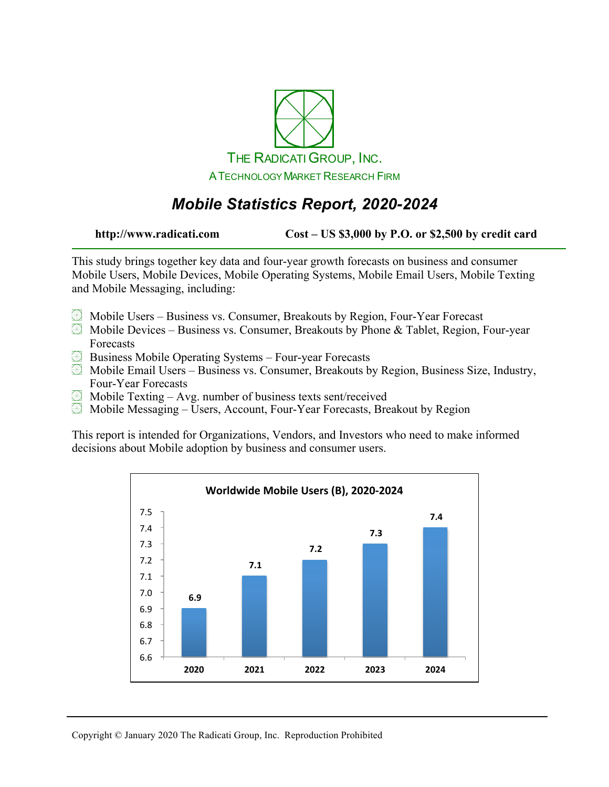

# *Mobile Statistics Report, 2020-2024*

**http://www.radicati.com Cost – US \$3,000 by P.O. or \$2,500 by credit card**

This study brings together key data and four-year growth forecasts on business and consumer Mobile Users, Mobile Devices, Mobile Operating Systems, Mobile Email Users, Mobile Texting and Mobile Messaging, including:

- Mobile Users Business vs. Consumer, Breakouts by Region, Four-Year Forecast
- $\boxtimes$  Mobile Devices Business vs. Consumer, Breakouts by Phone & Tablet, Region, Four-year Forecasts
- Business Mobile Operating Systems Four-year Forecasts
- $\boxtimes$  Mobile Email Users Business vs. Consumer, Breakouts by Region, Business Size, Industry, Four-Year Forecasts
- $\boxplus$  Mobile Texting Avg. number of business texts sent/received
- Mobile Messaging Users, Account, Four-Year Forecasts, Breakout by Region

This report is intended for Organizations, Vendors, and Investors who need to make informed decisions about Mobile adoption by business and consumer users.

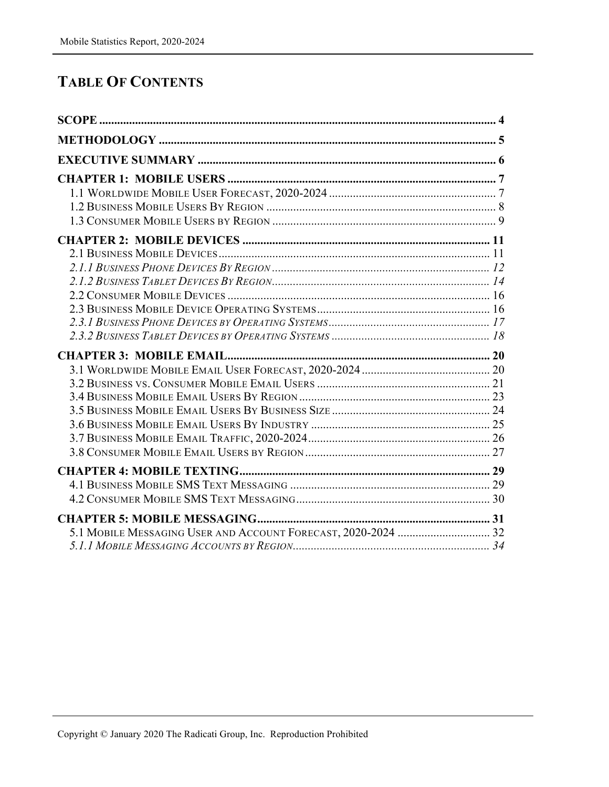### **TABLE OF CONTENTS**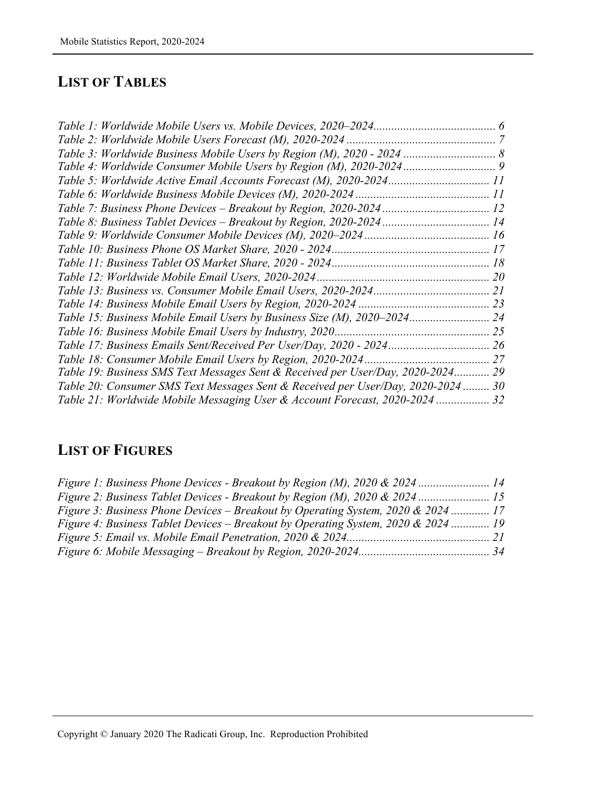#### **LIST OF TABLES**

| Table 17: Business Emails Sent/Received Per User/Day, 2020 - 2024 26         |    |
|------------------------------------------------------------------------------|----|
|                                                                              |    |
| Table 19: Business SMS Text Messages Sent & Received per User/Day, 2020-2024 | 29 |
| Table 20: Consumer SMS Text Messages Sent & Received per User/Day, 2020-2024 | 30 |
| Table 21: Worldwide Mobile Messaging User & Account Forecast, 2020-2024  32  |    |

## **LIST OF FIGURES**

| Figure 1: Business Phone Devices - Breakout by Region (M), 2020 & 2024 14         |  |
|-----------------------------------------------------------------------------------|--|
| Figure 2: Business Tablet Devices - Breakout by Region (M), 2020 & 2024 15        |  |
| Figure 3: Business Phone Devices – Breakout by Operating System, 2020 & 2024  17  |  |
| Figure 4: Business Tablet Devices – Breakout by Operating System, 2020 & 2024  19 |  |
|                                                                                   |  |
|                                                                                   |  |